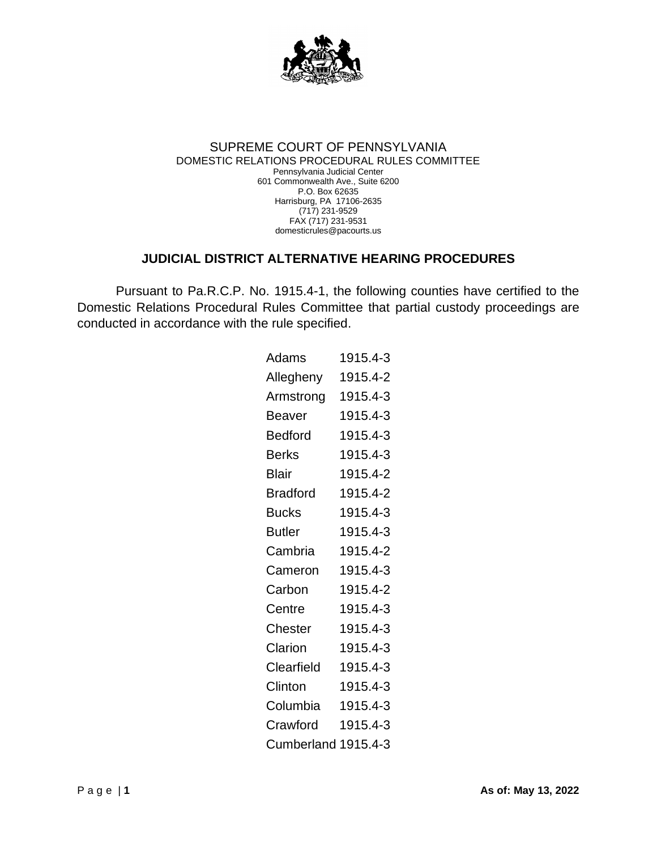

## SUPREME COURT OF PENNSYLVANIA DOMESTIC RELATIONS PROCEDURAL RULES COMMITTEE Pennsylvania Judicial Center 601 Commonwealth Ave., Suite 6200 P.O. Box 62635 Harrisburg, PA 17106-2635 (717) 231-9529 FAX (717) 231-9531 domesticrules@pacourts.us

## **JUDICIAL DISTRICT ALTERNATIVE HEARING PROCEDURES**

Pursuant to Pa.R.C.P. No. 1915.4-1, the following counties have certified to the Domestic Relations Procedural Rules Committee that partial custody proceedings are conducted in accordance with the rule specified.

| Adams               | 1915.4-3 |
|---------------------|----------|
| Allegheny           | 1915.4-2 |
| Armstrong           | 1915.4-3 |
| Beaver              | 1915.4-3 |
| Bedford             | 1915.4-3 |
| Berks               | 1915.4-3 |
| Blair               | 1915.4-2 |
| <b>Bradford</b>     | 1915.4-2 |
| <b>Bucks</b>        | 1915.4-3 |
| Butler              | 1915.4-3 |
| Cambria             | 1915.4-2 |
| Cameron             | 1915.4-3 |
| Carbon              | 1915.4-2 |
| Centre              | 1915.4-3 |
| Chester             | 1915.4-3 |
| Clarion             | 1915.4-3 |
| Clearfield          | 1915.4-3 |
| Clinton             | 1915.4-3 |
| Columbia            | 1915.4-3 |
| Crawford            | 1915.4-3 |
| Cumberland 1915.4-3 |          |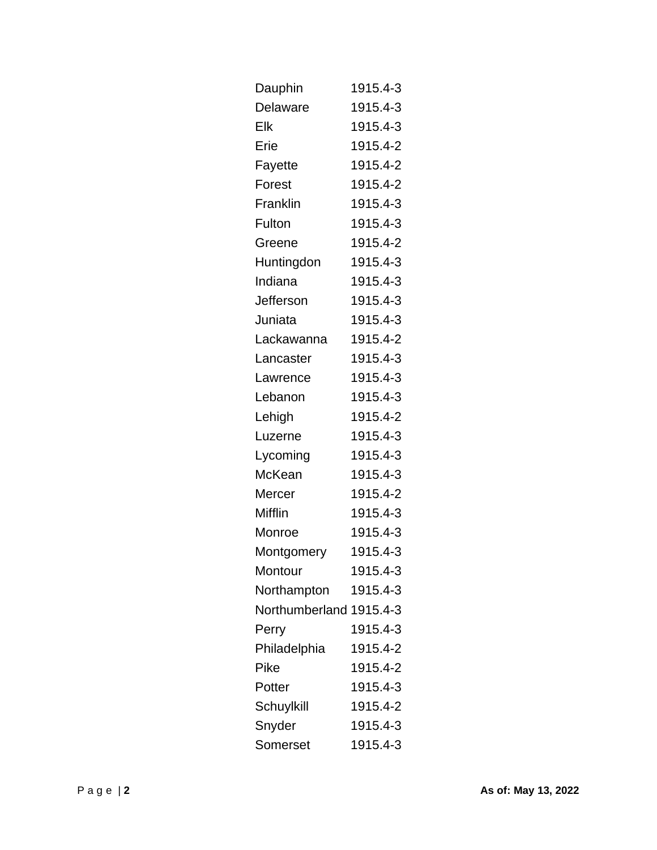| Dauphin                 | 1915.4-3 |
|-------------------------|----------|
| Delaware                | 1915.4-3 |
| Elk                     | 1915.4-3 |
| Erie                    | 1915.4-2 |
| Fayette                 | 1915.4-2 |
| Forest                  | 1915.4-2 |
| Franklin                | 1915.4-3 |
| Fulton                  | 1915.4-3 |
| Greene                  | 1915.4-2 |
| Huntingdon              | 1915.4-3 |
| Indiana                 | 1915.4-3 |
| Jefferson               | 1915.4-3 |
| Juniata                 | 1915.4-3 |
| Lackawanna              | 1915.4-2 |
| Lancaster               | 1915.4-3 |
| Lawrence                | 1915.4-3 |
| Lebanon                 | 1915.4-3 |
| Lehigh                  | 1915.4-2 |
| Luzerne                 | 1915.4-3 |
| Lycoming                | 1915.4-3 |
| McKean                  | 1915.4-3 |
| Mercer                  | 1915.4-2 |
| Mifflin                 | 1915.4-3 |
| Monroe                  | 1915.4-3 |
| Montgomery              | 1915.4-3 |
| Montour                 | 1915.4-3 |
| Northampton             | 1915.4-3 |
| Northumberland 1915.4-3 |          |
| Perry                   | 1915.4-3 |
| Philadelphia            | 1915.4-2 |
| Pike                    | 1915.4-2 |
| Potter                  | 1915.4-3 |
| Schuylkill              | 1915.4-2 |
| Snyder                  | 1915.4-3 |
| Somerset                | 1915.4-3 |